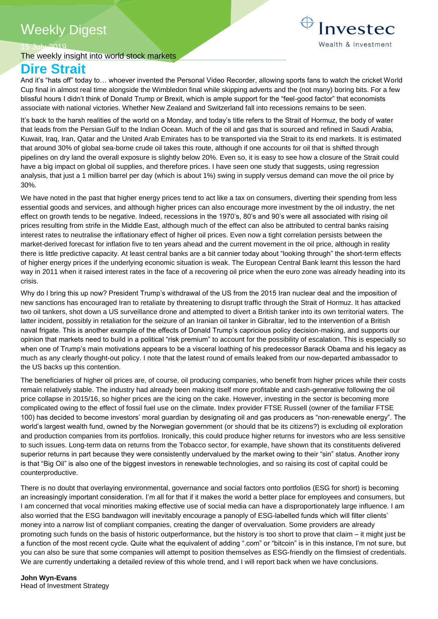# Weekly Digest

15 July 2019

# The weekly insight into world stock markets **Dire Strait**

Investec Wealth & Investment

And it's "hats off" today to… whoever invented the Personal Video Recorder, allowing sports fans to watch the cricket World Cup final in almost real time alongside the Wimbledon final while skipping adverts and the (not many) boring bits. For a few blissful hours I didn't think of Donald Trump or Brexit, which is ample support for the "feel-good factor" that economists associate with national victories. Whether New Zealand and Switzerland fall into recessions remains to be seen.

It's back to the harsh realities of the world on a Monday, and today's title refers to the Strait of Hormuz, the body of water that leads from the Persian Gulf to the Indian Ocean. Much of the oil and gas that is sourced and refined in Saudi Arabia, Kuwait, Iraq, Iran, Qatar and the United Arab Emirates has to be transported via the Strait to its end markets. It is estimated that around 30% of global sea-borne crude oil takes this route, although if one accounts for oil that is shifted through pipelines on dry land the overall exposure is slightly below 20%. Even so, it is easy to see how a closure of the Strait could have a big impact on global oil supplies, and therefore prices. I have seen one study that suggests, using regression analysis, that just a 1 million barrel per day (which is about 1%) swing in supply versus demand can move the oil price by 30%.

We have noted in the past that higher energy prices tend to act like a tax on consumers, diverting their spending from less essential goods and services, and although higher prices can also encourage more investment by the oil industry, the net effect on growth tends to be negative. Indeed, recessions in the 1970's, 80's and 90's were all associated with rising oil prices resulting from strife in the Middle East, although much of the effect can also be attributed to central banks raising interest rates to neutralise the inflationary effect of higher oil prices. Even now a tight correlation persists between the market-derived forecast for inflation five to ten years ahead and the current movement in the oil price, although in reality there is little predictive capacity. At least central banks are a bit cannier today about "looking through" the short-term effects of higher energy prices if the underlying economic situation is weak. The European Central Bank learnt this lesson the hard way in 2011 when it raised interest rates in the face of a recovering oil price when the euro zone was already heading into its crisis.

Why do I bring this up now? President Trump's withdrawal of the US from the 2015 Iran nuclear deal and the imposition of new sanctions has encouraged Iran to retaliate by threatening to disrupt traffic through the Strait of Hormuz. It has attacked two oil tankers, shot down a US surveillance drone and attempted to divert a British tanker into its own territorial waters. The latter incident, possibly in retaliation for the seizure of an Iranian oil tanker in Gibraltar, led to the intervention of a British naval frigate. This is another example of the effects of Donald Trump's capricious policy decision-making, and supports our opinion that markets need to build in a political "risk premium" to account for the possibility of escalation. This is especially so when one of Trump's main motivations appears to be a visceral loathing of his predecessor Barack Obama and his legacy as much as any clearly thought-out policy. I note that the latest round of emails leaked from our now-departed ambassador to the US backs up this contention.

The beneficiaries of higher oil prices are, of course, oil producing companies, who benefit from higher prices while their costs remain relatively stable. The industry had already been making itself more profitable and cash-generative following the oil price collapse in 2015/16, so higher prices are the icing on the cake. However, investing in the sector is becoming more complicated owing to the effect of fossil fuel use on the climate. Index provider FTSE Russell (owner of the familiar FTSE 100) has decided to become investors' moral guardian by designating oil and gas producers as "non-renewable energy". The world's largest wealth fund, owned by the Norwegian government (or should that be its citizens?) is excluding oil exploration and production companies from its portfolios. Ironically, this could produce higher returns for investors who are less sensitive to such issues. Long-term data on returns from the Tobacco sector, for example, have shown that its constituents delivered superior returns in part because they were consistently undervalued by the market owing to their "sin" status. Another irony is that "Big Oil" is also one of the biggest investors in renewable technologies, and so raising its cost of capital could be counterproductive.

There is no doubt that overlaying environmental, governance and social factors onto portfolios (ESG for short) is becoming an increasingly important consideration. I'm all for that if it makes the world a better place for employees and consumers, but I am concerned that vocal minorities making effective use of social media can have a disproportionately large influence. I am also worried that the ESG bandwagon will inevitably encourage a panoply of ESG-labelled funds which will filter clients' money into a narrow list of compliant companies, creating the danger of overvaluation. Some providers are already promoting such funds on the basis of historic outperformance, but the history is too short to prove that claim – it might just be a function of the most recent cycle. Quite what the equivalent of adding ".com" or "bitcoin" is in this instance, I'm not sure, but you can also be sure that some companies will attempt to position themselves as ESG-friendly on the flimsiest of credentials. We are currently undertaking a detailed review of this whole trend, and I will report back when we have conclusions.